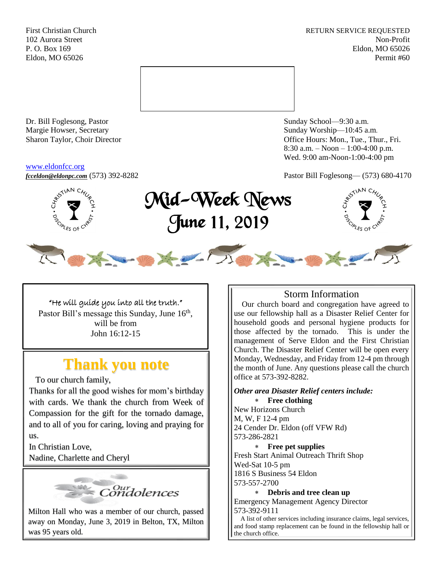First Christian Church **RETURN SERVICE REQUESTED** 102 Aurora Street Non-Profit P. O. Box 169 Eldon, MO 65026 Eldon, MO 65026 Permit #60



Dr. Bill Foglesong, Pastor Sunday School—9:30 a.m. Margie Howser, Secretary Sunday Worship—10:45 a.m.

#### [www.eldonfcc.org](http://www.eldonfcc.org/)

Sharon Taylor, Choir Director **Calcular Control** Control Control Control Control Control Control Control Control Control Control Control Control Control Control Control Control Control Control Control Control Control Contr 8:30 a.m. – Noon – 1:00-4:00 p.m. Wed. 9:00 am-Noon-1:00-4:00 pm

*[fcceldon@eldonpc.com](mailto:fcceldon@eldonpc.com)* (573) 392-8282 Pastor Bill Foglesong— (573) 680-4170



# Mid-Week News June 11, 2019





"He will guide you into all the truth." Pastor Bill's message this Sunday, June 16<sup>th</sup>, will be from John 16:12-15

# **Thank you note**

To our church family,

Thanks for all the good wishes for mom's birthday with cards. We thank the church from Week of Compassion for the gift for the tornado damage, and to all of you for caring, loving and praying for us.

In Christian Love, Nadine, Charlette and Cheryl



Milton Hall who was a member of our church, passed away on Monday, June 3, 2019 in Belton, TX, Milton was 95 years old.

# Storm Information

 Our church board and congregation have agreed to use our fellowship hall as a Disaster Relief Center for household goods and personal hygiene products for those affected by the tornado. This is under the management of Serve Eldon and the First Christian Church. The Disaster Relief Center will be open every Monday, Wednesday, and Friday from 12-4 pm through the month of June. Any questions please call the church office at 573-392-8282.

*Other area Disaster Relief centers include:* **Free clothing**

New Horizons Church M, W, F 12-4 pm 24 Cender Dr. Eldon (off VFW Rd) 573-286-2821

 **Free pet supplies** Fresh Start Animal Outreach Thrift Shop Wed-Sat 10-5 pm 1816 S Business 54 Eldon 573-557-2700

 **Debris and tree clean up** Emergency Management Agency Director 573-392-9111

 A list of other services including insurance claims, legal services, and food stamp replacement can be found in the fellowship hall or the church office.